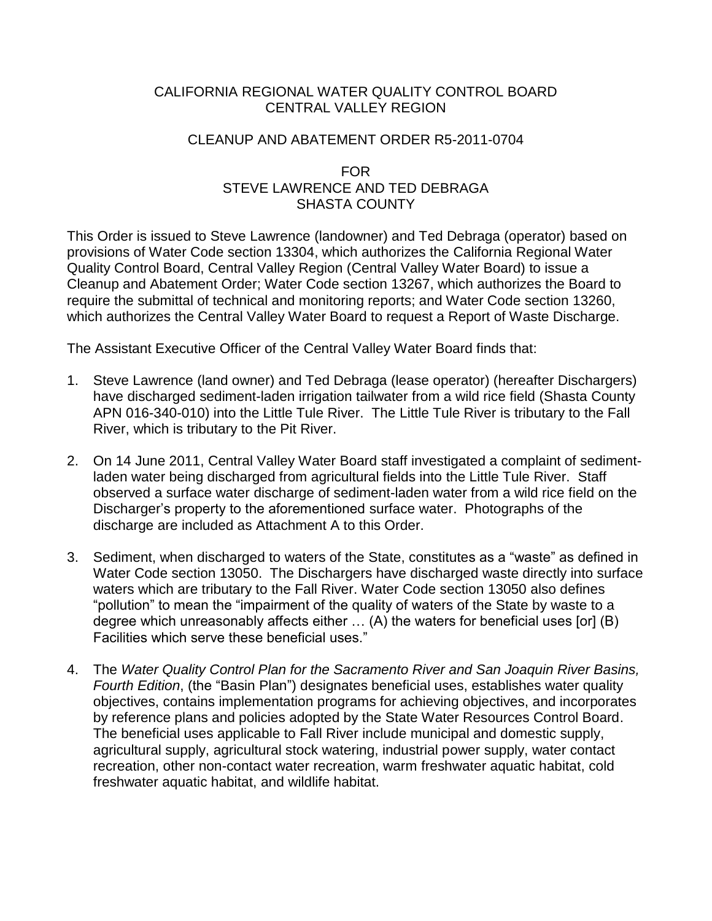# CALIFORNIA REGIONAL WATER QUALITY CONTROL BOARD CENTRAL VALLEY REGION

## CLEANUP AND ABATEMENT ORDER R5-2011-0704

## FOR STEVE LAWRENCE AND TED DEBRAGA SHASTA COUNTY

This Order is issued to Steve Lawrence (landowner) and Ted Debraga (operator) based on provisions of Water Code section 13304, which authorizes the California Regional Water Quality Control Board, Central Valley Region (Central Valley Water Board) to issue a Cleanup and Abatement Order; Water Code section 13267, which authorizes the Board to require the submittal of technical and monitoring reports; and Water Code section 13260, which authorizes the Central Valley Water Board to request a Report of Waste Discharge.

The Assistant Executive Officer of the Central Valley Water Board finds that:

- 1. Steve Lawrence (land owner) and Ted Debraga (lease operator) (hereafter Dischargers) have discharged sediment-laden irrigation tailwater from a wild rice field (Shasta County APN 016-340-010) into the Little Tule River. The Little Tule River is tributary to the Fall River, which is tributary to the Pit River.
- 2. On 14 June 2011, Central Valley Water Board staff investigated a complaint of sedimentladen water being discharged from agricultural fields into the Little Tule River. Staff observed a surface water discharge of sediment-laden water from a wild rice field on the Discharger's property to the aforementioned surface water. Photographs of the discharge are included as Attachment A to this Order.
- 3. Sediment, when discharged to waters of the State, constitutes as a "waste" as defined in Water Code section 13050. The Dischargers have discharged waste directly into surface waters which are tributary to the Fall River. Water Code section 13050 also defines "pollution" to mean the "impairment of the quality of waters of the State by waste to a degree which unreasonably affects either … (A) the waters for beneficial uses [or] (B) Facilities which serve these beneficial uses."
- 4. The *Water Quality Control Plan for the Sacramento River and San Joaquin River Basins, Fourth Edition*, (the "Basin Plan") designates beneficial uses, establishes water quality objectives, contains implementation programs for achieving objectives, and incorporates by reference plans and policies adopted by the State Water Resources Control Board. The beneficial uses applicable to Fall River include municipal and domestic supply, agricultural supply, agricultural stock watering, industrial power supply, water contact recreation, other non-contact water recreation, warm freshwater aquatic habitat, cold freshwater aquatic habitat, and wildlife habitat.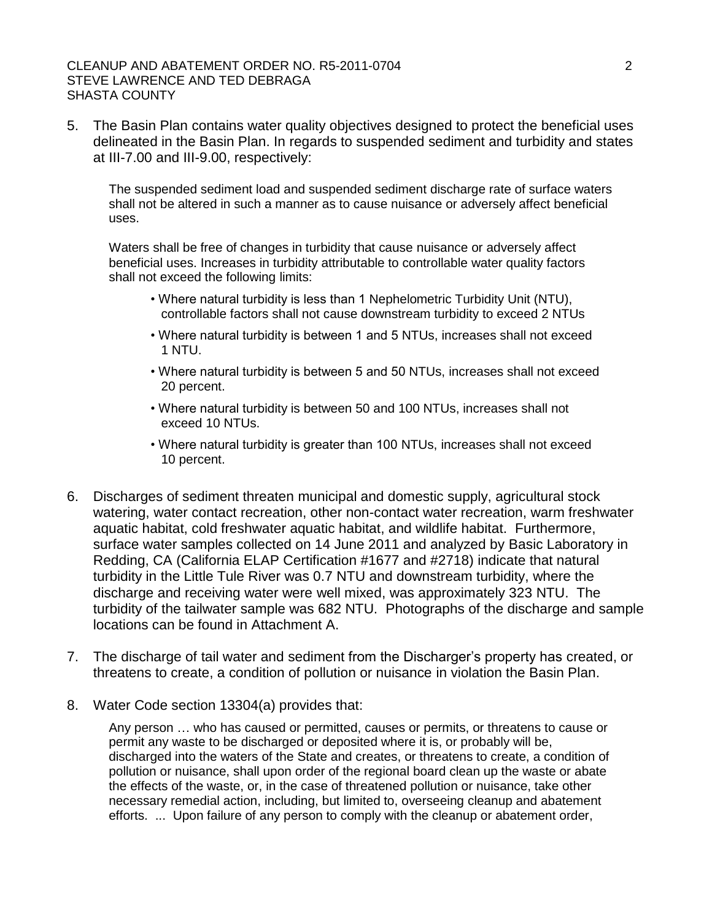#### CLEANUP AND ABATEMENT ORDER NO. R5-2011-0704 2 STEVE LAWRENCE AND TED DEBRAGA SHASTA COUNTY

5. The Basin Plan contains water quality objectives designed to protect the beneficial uses delineated in the Basin Plan. In regards to suspended sediment and turbidity and states at III-7.00 and III-9.00, respectively:

The suspended sediment load and suspended sediment discharge rate of surface waters shall not be altered in such a manner as to cause nuisance or adversely affect beneficial uses.

Waters shall be free of changes in turbidity that cause nuisance or adversely affect beneficial uses. Increases in turbidity attributable to controllable water quality factors shall not exceed the following limits:

- Where natural turbidity is less than 1 Nephelometric Turbidity Unit (NTU), controllable factors shall not cause downstream turbidity to exceed 2 NTUs
- Where natural turbidity is between 1 and 5 NTUs, increases shall not exceed 1 NTU.
- Where natural turbidity is between 5 and 50 NTUs, increases shall not exceed 20 percent.
- Where natural turbidity is between 50 and 100 NTUs, increases shall not exceed 10 NTUs.
- Where natural turbidity is greater than 100 NTUs, increases shall not exceed 10 percent.
- 6. Discharges of sediment threaten municipal and domestic supply, agricultural stock watering, water contact recreation, other non-contact water recreation, warm freshwater aquatic habitat, cold freshwater aquatic habitat, and wildlife habitat. Furthermore, surface water samples collected on 14 June 2011 and analyzed by Basic Laboratory in Redding, CA (California ELAP Certification #1677 and #2718) indicate that natural turbidity in the Little Tule River was 0.7 NTU and downstream turbidity, where the discharge and receiving water were well mixed, was approximately 323 NTU. The turbidity of the tailwater sample was 682 NTU. Photographs of the discharge and sample locations can be found in Attachment A.
- 7. The discharge of tail water and sediment from the Discharger's property has created, or threatens to create, a condition of pollution or nuisance in violation the Basin Plan.
- 8. Water Code section 13304(a) provides that:

Any person … who has caused or permitted, causes or permits, or threatens to cause or permit any waste to be discharged or deposited where it is, or probably will be, discharged into the waters of the State and creates, or threatens to create, a condition of pollution or nuisance, shall upon order of the regional board clean up the waste or abate the effects of the waste, or, in the case of threatened pollution or nuisance, take other necessary remedial action, including, but limited to, overseeing cleanup and abatement efforts. ... Upon failure of any person to comply with the cleanup or abatement order,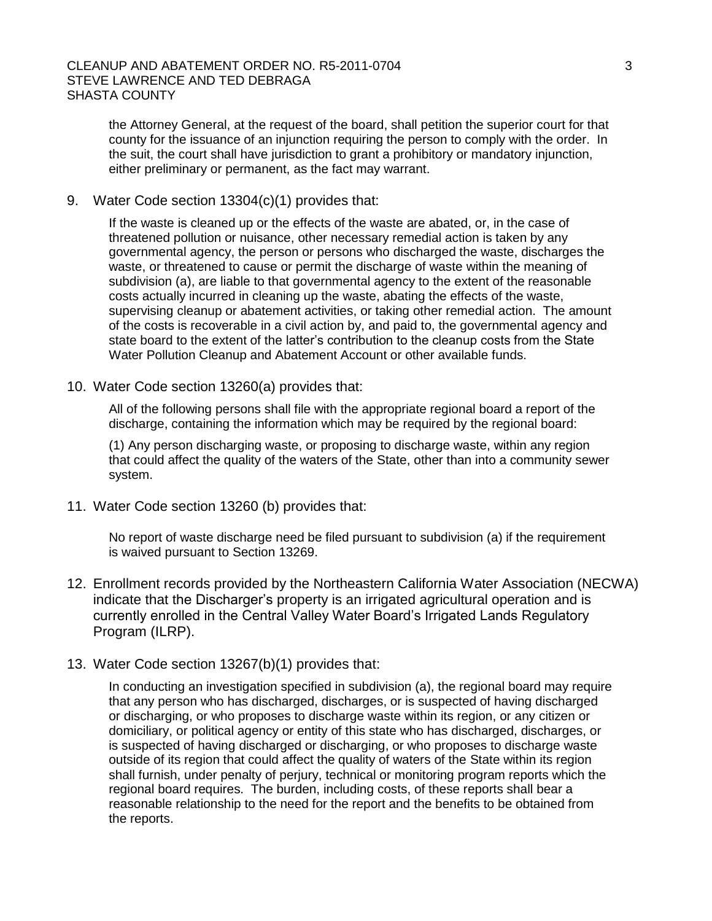the Attorney General, at the request of the board, shall petition the superior court for that county for the issuance of an injunction requiring the person to comply with the order. In the suit, the court shall have jurisdiction to grant a prohibitory or mandatory injunction, either preliminary or permanent, as the fact may warrant.

9. Water Code section 13304(c)(1) provides that:

If the waste is cleaned up or the effects of the waste are abated, or, in the case of threatened pollution or nuisance, other necessary remedial action is taken by any governmental agency, the person or persons who discharged the waste, discharges the waste, or threatened to cause or permit the discharge of waste within the meaning of subdivision (a), are liable to that governmental agency to the extent of the reasonable costs actually incurred in cleaning up the waste, abating the effects of the waste, supervising cleanup or abatement activities, or taking other remedial action. The amount of the costs is recoverable in a civil action by, and paid to, the governmental agency and state board to the extent of the latter's contribution to the cleanup costs from the State Water Pollution Cleanup and Abatement Account or other available funds.

10. Water Code section 13260(a) provides that:

All of the following persons shall file with the appropriate regional board a report of the discharge, containing the information which may be required by the regional board:

(1) Any person discharging waste, or proposing to discharge waste, within any region that could affect the quality of the waters of the State, other than into a community sewer system.

11. Water Code section 13260 (b) provides that:

No report of waste discharge need be filed pursuant to subdivision (a) if the requirement is waived pursuant to Section 13269.

- 12. Enrollment records provided by the Northeastern California Water Association (NECWA) indicate that the Discharger's property is an irrigated agricultural operation and is currently enrolled in the Central Valley Water Board's Irrigated Lands Regulatory Program (ILRP).
- 13. Water Code section 13267(b)(1) provides that:

In conducting an investigation specified in subdivision (a), the regional board may require that any person who has discharged, discharges, or is suspected of having discharged or discharging, or who proposes to discharge waste within its region, or any citizen or domiciliary, or political agency or entity of this state who has discharged, discharges, or is suspected of having discharged or discharging, or who proposes to discharge waste outside of its region that could affect the quality of waters of the State within its region shall furnish, under penalty of perjury, technical or monitoring program reports which the regional board requires. The burden, including costs, of these reports shall bear a reasonable relationship to the need for the report and the benefits to be obtained from the reports.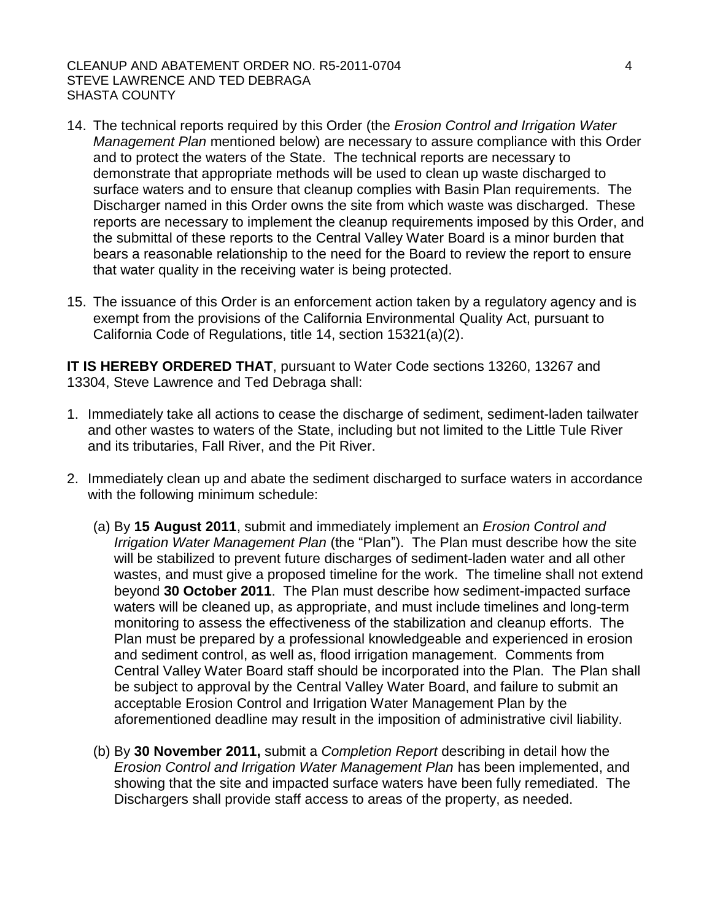CLEANUP AND ABATEMENT ORDER NO. R5-2011-0704 4 STEVE LAWRENCE AND TED DEBRAGA SHASTA COUNTY

- 14. The technical reports required by this Order (the *Erosion Control and Irrigation Water Management Plan* mentioned below) are necessary to assure compliance with this Order and to protect the waters of the State. The technical reports are necessary to demonstrate that appropriate methods will be used to clean up waste discharged to surface waters and to ensure that cleanup complies with Basin Plan requirements. The Discharger named in this Order owns the site from which waste was discharged. These reports are necessary to implement the cleanup requirements imposed by this Order, and the submittal of these reports to the Central Valley Water Board is a minor burden that bears a reasonable relationship to the need for the Board to review the report to ensure that water quality in the receiving water is being protected.
- 15. The issuance of this Order is an enforcement action taken by a regulatory agency and is exempt from the provisions of the California Environmental Quality Act, pursuant to California Code of Regulations, title 14, section 15321(a)(2).

**IT IS HEREBY ORDERED THAT**, pursuant to Water Code sections 13260, 13267 and 13304, Steve Lawrence and Ted Debraga shall:

- 1. Immediately take all actions to cease the discharge of sediment, sediment-laden tailwater and other wastes to waters of the State, including but not limited to the Little Tule River and its tributaries, Fall River, and the Pit River.
- 2. Immediately clean up and abate the sediment discharged to surface waters in accordance with the following minimum schedule:
	- (a) By **15 August 2011**, submit and immediately implement an *Erosion Control and Irrigation Water Management Plan* (the "Plan"). The Plan must describe how the site will be stabilized to prevent future discharges of sediment-laden water and all other wastes, and must give a proposed timeline for the work. The timeline shall not extend beyond **30 October 2011**. The Plan must describe how sediment-impacted surface waters will be cleaned up, as appropriate, and must include timelines and long-term monitoring to assess the effectiveness of the stabilization and cleanup efforts. The Plan must be prepared by a professional knowledgeable and experienced in erosion and sediment control, as well as, flood irrigation management. Comments from Central Valley Water Board staff should be incorporated into the Plan. The Plan shall be subject to approval by the Central Valley Water Board, and failure to submit an acceptable Erosion Control and Irrigation Water Management Plan by the aforementioned deadline may result in the imposition of administrative civil liability.
	- (b) By **30 November 2011,** submit a *Completion Report* describing in detail how the *Erosion Control and Irrigation Water Management Plan* has been implemented, and showing that the site and impacted surface waters have been fully remediated. The Dischargers shall provide staff access to areas of the property, as needed.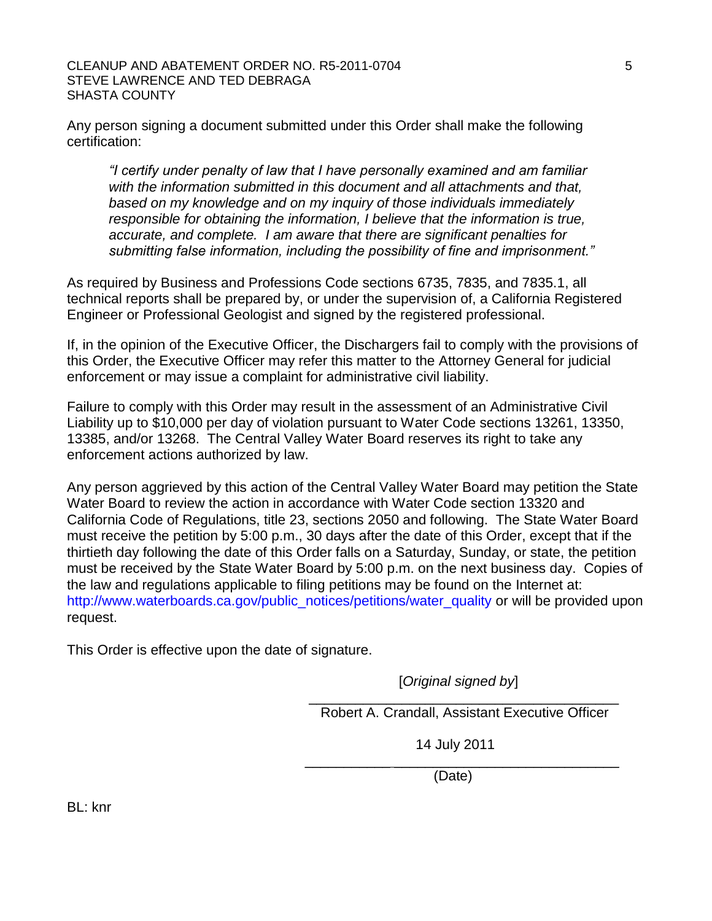#### CLEANUP AND ABATEMENT ORDER NO. R5-2011-0704 5 STEVE LAWRENCE AND TED DEBRAGA SHASTA COUNTY

Any person signing a document submitted under this Order shall make the following certification:

*"I certify under penalty of law that I have personally examined and am familiar with the information submitted in this document and all attachments and that, based on my knowledge and on my inquiry of those individuals immediately responsible for obtaining the information, I believe that the information is true, accurate, and complete. I am aware that there are significant penalties for submitting false information, including the possibility of fine and imprisonment."*

As required by Business and Professions Code sections 6735, 7835, and 7835.1, all technical reports shall be prepared by, or under the supervision of, a California Registered Engineer or Professional Geologist and signed by the registered professional.

If, in the opinion of the Executive Officer, the Dischargers fail to comply with the provisions of this Order, the Executive Officer may refer this matter to the Attorney General for judicial enforcement or may issue a complaint for administrative civil liability.

Failure to comply with this Order may result in the assessment of an Administrative Civil Liability up to \$10,000 per day of violation pursuant to Water Code sections 13261, 13350, 13385, and/or 13268. The Central Valley Water Board reserves its right to take any enforcement actions authorized by law.

Any person aggrieved by this action of the Central Valley Water Board may petition the State Water Board to review the action in accordance with Water Code section 13320 and California Code of Regulations, title 23, sections 2050 and following. The State Water Board must receive the petition by 5:00 p.m., 30 days after the date of this Order, except that if the thirtieth day following the date of this Order falls on a Saturday, Sunday, or state, the petition must be received by the State Water Board by 5:00 p.m. on the next business day. Copies of the law and regulations applicable to filing petitions may be found on the Internet at: [http://www.waterboards.ca.gov/public\\_notices/petitions/water\\_quality](http://www.waterboards.ca.gov/public_notices/petitions/water_quality) or will be provided upon request.

This Order is effective upon the date of signature.

 [*Original signed by*]  $\overline{\phantom{a}}$  , and the set of the set of the set of the set of the set of the set of the set of the set of the set of the set of the set of the set of the set of the set of the set of the set of the set of the set of the s

Robert A. Crandall, Assistant Executive Officer

 14 July 2011  $\frac{1}{2}$  ,  $\frac{1}{2}$  ,  $\frac{1}{2}$  ,  $\frac{1}{2}$  ,  $\frac{1}{2}$  ,  $\frac{1}{2}$  ,  $\frac{1}{2}$  ,  $\frac{1}{2}$  ,  $\frac{1}{2}$  ,  $\frac{1}{2}$  ,  $\frac{1}{2}$  ,  $\frac{1}{2}$  ,  $\frac{1}{2}$  ,  $\frac{1}{2}$  ,  $\frac{1}{2}$  ,  $\frac{1}{2}$  ,  $\frac{1}{2}$  ,  $\frac{1}{2}$  ,  $\frac{1$ 

(Date)

BL: knr